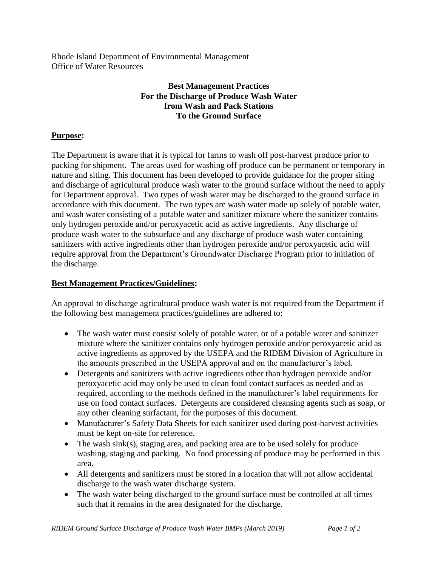Rhode Island Department of Environmental Management Office of Water Resources

## **Best Management Practices For the Discharge of Produce Wash Water from Wash and Pack Stations To the Ground Surface**

## **Purpose:**

The Department is aware that it is typical for farms to wash off post-harvest produce prior to packing for shipment. The areas used for washing off produce can be permanent or temporary in nature and siting. This document has been developed to provide guidance for the proper siting and discharge of agricultural produce wash water to the ground surface without the need to apply for Department approval. Two types of wash water may be discharged to the ground surface in accordance with this document. The two types are wash water made up solely of potable water, and wash water consisting of a potable water and sanitizer mixture where the sanitizer contains only hydrogen peroxide and/or peroxyacetic acid as active ingredients. Any discharge of produce wash water to the subsurface and any discharge of produce wash water containing sanitizers with active ingredients other than hydrogen peroxide and/or peroxyacetic acid will require approval from the Department's Groundwater Discharge Program prior to initiation of the discharge.

## **Best Management Practices/Guidelines:**

An approval to discharge agricultural produce wash water is not required from the Department if the following best management practices/guidelines are adhered to:

- The wash water must consist solely of potable water, or of a potable water and sanitizer mixture where the sanitizer contains only hydrogen peroxide and/or peroxyacetic acid as active ingredients as approved by the USEPA and the RIDEM Division of Agriculture in the amounts prescribed in the USEPA approval and on the manufacturer's label.
- Detergents and sanitizers with active ingredients other than hydrogen peroxide and/or peroxyacetic acid may only be used to clean food contact surfaces as needed and as required, according to the methods defined in the manufacturer's label requirements for use on food contact surfaces. Detergents are considered cleansing agents such as soap, or any other cleaning surfactant, for the purposes of this document.
- Manufacturer's Safety Data Sheets for each sanitizer used during post-harvest activities must be kept on-site for reference.
- The wash sink(s), staging area, and packing area are to be used solely for produce washing, staging and packing. No food processing of produce may be performed in this area.
- All detergents and sanitizers must be stored in a location that will not allow accidental discharge to the wash water discharge system.
- The wash water being discharged to the ground surface must be controlled at all times such that it remains in the area designated for the discharge.